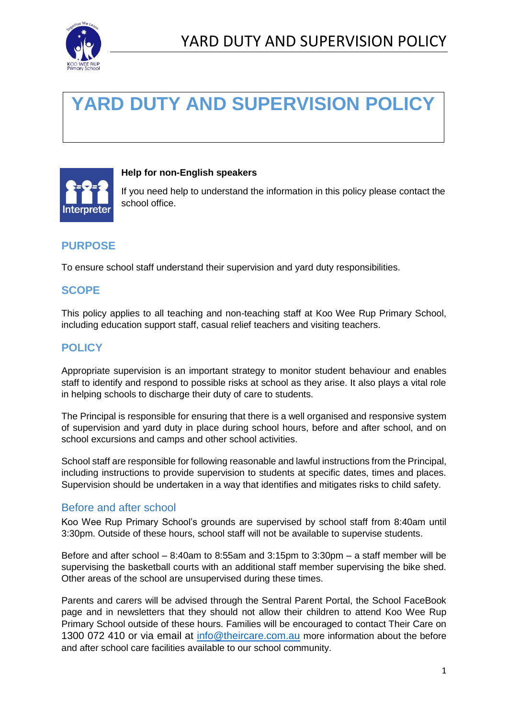

# **YARD DUTY AND SUPERVISION POLICY**



## **Help for non-English speakers**

If you need help to understand the information in this policy please contact the school office.

# **PURPOSE**

To ensure school staff understand their supervision and yard duty responsibilities.

## **SCOPE**

This policy applies to all teaching and non-teaching staff at Koo Wee Rup Primary School, including education support staff, casual relief teachers and visiting teachers.

# **POLICY**

Appropriate supervision is an important strategy to monitor student behaviour and enables staff to identify and respond to possible risks at school as they arise. It also plays a vital role in helping schools to discharge their duty of care to students.

The Principal is responsible for ensuring that there is a well organised and responsive system of supervision and yard duty in place during school hours, before and after school, and on school excursions and camps and other school activities.

School staff are responsible for following reasonable and lawful instructions from the Principal, including instructions to provide supervision to students at specific dates, times and places. Supervision should be undertaken in a way that identifies and mitigates risks to child safety.

## Before and after school

Koo Wee Rup Primary School's grounds are supervised by school staff from 8:40am until 3:30pm. Outside of these hours, school staff will not be available to supervise students.

Before and after school – 8:40am to 8:55am and 3:15pm to 3:30pm – a staff member will be supervising the basketball courts with an additional staff member supervising the bike shed. Other areas of the school are unsupervised during these times.

Parents and carers will be advised through the Sentral Parent Portal, the School FaceBook page and in newsletters that they should not allow their children to attend Koo Wee Rup Primary School outside of these hours. Families will be encouraged to contact Their Care on 1300 072 410 or via email at [info@theircare.com.au](mailto:info@theircare.com.au) more information about the before and after school care facilities available to our school community.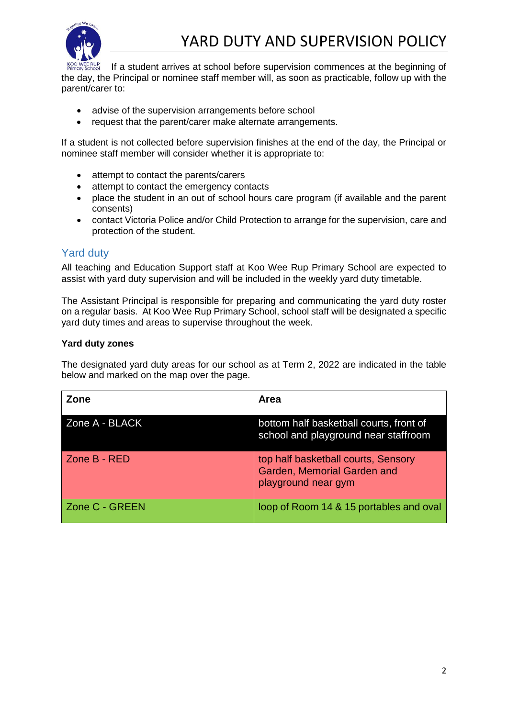

If a student arrives at school before supervision commences at the beginning of the day, the Principal or nominee staff member will, as soon as practicable, follow up with the parent/carer to:

- advise of the supervision arrangements before school
- request that the parent/carer make alternate arrangements.

If a student is not collected before supervision finishes at the end of the day, the Principal or nominee staff member will consider whether it is appropriate to:

- attempt to contact the parents/carers
- attempt to contact the emergency contacts
- place the student in an out of school hours care program (if available and the parent consents)
- contact Victoria Police and/or Child Protection to arrange for the supervision, care and protection of the student.

## Yard duty

All teaching and Education Support staff at Koo Wee Rup Primary School are expected to assist with yard duty supervision and will be included in the weekly yard duty timetable.

The Assistant Principal is responsible for preparing and communicating the yard duty roster on a regular basis. At Koo Wee Rup Primary School, school staff will be designated a specific yard duty times and areas to supervise throughout the week.

#### **Yard duty zones**

The designated yard duty areas for our school as at Term 2, 2022 are indicated in the table below and marked on the map over the page.

| Zone           | <b>Area</b>                                                                               |
|----------------|-------------------------------------------------------------------------------------------|
| Zone A - BLACK | bottom half basketball courts, front of<br>school and playground near staffroom           |
| Zone B - RED   | top half basketball courts, Sensory<br>Garden, Memorial Garden and<br>playground near gym |
| Zone C - GREEN | loop of Room 14 & 15 portables and oval                                                   |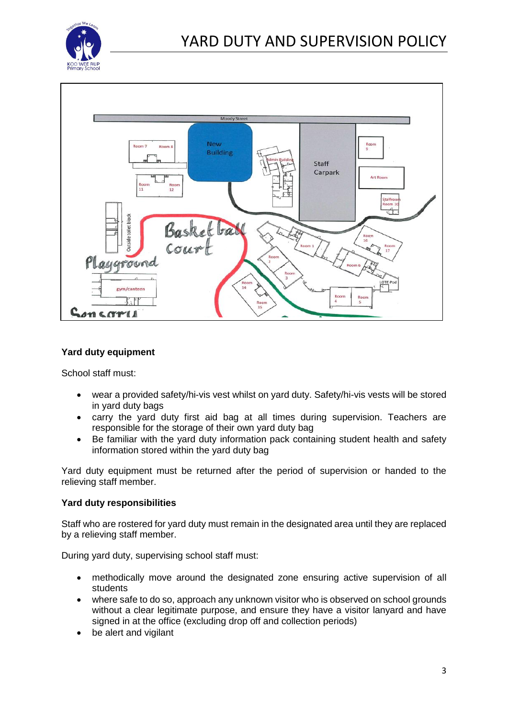



#### **Yard duty equipment**

School staff must:

- wear a provided safety/hi-vis vest whilst on yard duty. Safety/hi-vis vests will be stored in yard duty bags
- carry the yard duty first aid bag at all times during supervision. Teachers are responsible for the storage of their own yard duty bag
- Be familiar with the yard duty information pack containing student health and safety information stored within the yard duty bag

Yard duty equipment must be returned after the period of supervision or handed to the relieving staff member.

#### **Yard duty responsibilities**

Staff who are rostered for yard duty must remain in the designated area until they are replaced by a relieving staff member.

During yard duty, supervising school staff must:

- methodically move around the designated zone ensuring active supervision of all students
- where safe to do so, approach any unknown visitor who is observed on school grounds without a clear legitimate purpose, and ensure they have a visitor lanyard and have signed in at the office (excluding drop off and collection periods)
- be alert and vigilant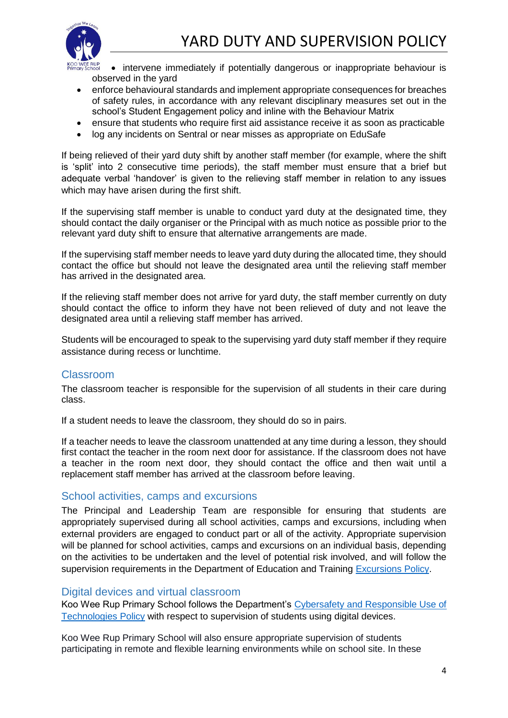

- intervene immediately if potentially dangerous or inappropriate behaviour is observed in the yard
- enforce behavioural standards and implement appropriate consequences for breaches of safety rules, in accordance with any relevant disciplinary measures set out in the school's Student Engagement policy and inline with the Behaviour Matrix
- ensure that students who require first aid assistance receive it as soon as practicable
- log any incidents on Sentral or near misses as appropriate on EduSafe

If being relieved of their yard duty shift by another staff member (for example, where the shift is 'split' into 2 consecutive time periods), the staff member must ensure that a brief but adequate verbal 'handover' is given to the relieving staff member in relation to any issues which may have arisen during the first shift.

If the supervising staff member is unable to conduct yard duty at the designated time, they should contact the daily organiser or the Principal with as much notice as possible prior to the relevant yard duty shift to ensure that alternative arrangements are made.

If the supervising staff member needs to leave yard duty during the allocated time, they should contact the office but should not leave the designated area until the relieving staff member has arrived in the designated area.

If the relieving staff member does not arrive for yard duty, the staff member currently on duty should contact the office to inform they have not been relieved of duty and not leave the designated area until a relieving staff member has arrived.

Students will be encouraged to speak to the supervising yard duty staff member if they require assistance during recess or lunchtime.

## Classroom

The classroom teacher is responsible for the supervision of all students in their care during class.

If a student needs to leave the classroom, they should do so in pairs.

If a teacher needs to leave the classroom unattended at any time during a lesson, they should first contact the teacher in the room next door for assistance. If the classroom does not have a teacher in the room next door, they should contact the office and then wait until a replacement staff member has arrived at the classroom before leaving.

## School activities, camps and excursions

The Principal and Leadership Team are responsible for ensuring that students are appropriately supervised during all school activities, camps and excursions, including when external providers are engaged to conduct part or all of the activity. Appropriate supervision will be planned for school activities, camps and excursions on an individual basis, depending on the activities to be undertaken and the level of potential risk involved, and will follow the supervision requirements in the Department of Education and Training [Excursions Policy.](https://www2.education.vic.gov.au/pal/excursions/policy)

## Digital devices and virtual classroom

Koo Wee Rup Primary School follows the Department's [Cybersafety and Responsible Use of](https://www2.education.vic.gov.au/pal/cybersafety/policy)  [Technologies Policy](https://www2.education.vic.gov.au/pal/cybersafety/policy) with respect to supervision of students using digital devices.

Koo Wee Rup Primary School will also ensure appropriate supervision of students participating in remote and flexible learning environments while on school site. In these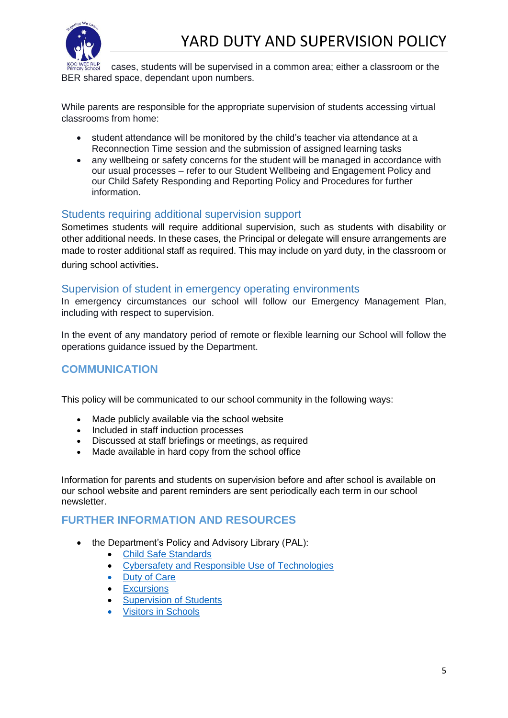

cases, students will be supervised in a common area; either a classroom or the BER shared space, dependant upon numbers.

While parents are responsible for the appropriate supervision of students accessing virtual classrooms from home:

- student attendance will be monitored by the child's teacher via attendance at a Reconnection Time session and the submission of assigned learning tasks
- any wellbeing or safety concerns for the student will be managed in accordance with our usual processes – refer to our Student Wellbeing and Engagement Policy and our Child Safety Responding and Reporting Policy and Procedures for further information.

## Students requiring additional supervision support

Sometimes students will require additional supervision, such as students with disability or other additional needs. In these cases, the Principal or delegate will ensure arrangements are made to roster additional staff as required. This may include on yard duty, in the classroom or during school activities.

#### Supervision of student in emergency operating environments

In emergency circumstances our school will follow our Emergency Management Plan, including with respect to supervision.

In the event of any mandatory period of remote or flexible learning our School will follow the operations guidance issued by the Department.

## **COMMUNICATION**

This policy will be communicated to our school community in the following ways:

- Made publicly available via the school website
- Included in staff induction processes
- Discussed at staff briefings or meetings, as required
- Made available in hard copy from the school office

Information for parents and students on supervision before and after school is available on our school website and parent reminders are sent periodically each term in our school newsletter.

## **FURTHER INFORMATION AND RESOURCES**

- the Department's Policy and Advisory Library (PAL):
	- [Child Safe Standards](https://www2.education.vic.gov.au/pal/child-safe-standards/policy)
	- [Cybersafety and Responsible Use of](https://www2.education.vic.gov.au/pal/cybersafety/policy) Technologies
	- [Duty of Care](https://www2.education.vic.gov.au/pal/duty-of-care/policy)
	- [Excursions](https://www2.education.vic.gov.au/pal/excursions/policy)
	- **[Supervision of Students](https://www2.education.vic.gov.au/pal/supervision-students/policy)**
	- **[Visitors in Schools](https://www2.education.vic.gov.au/pal/visitors/policy)**